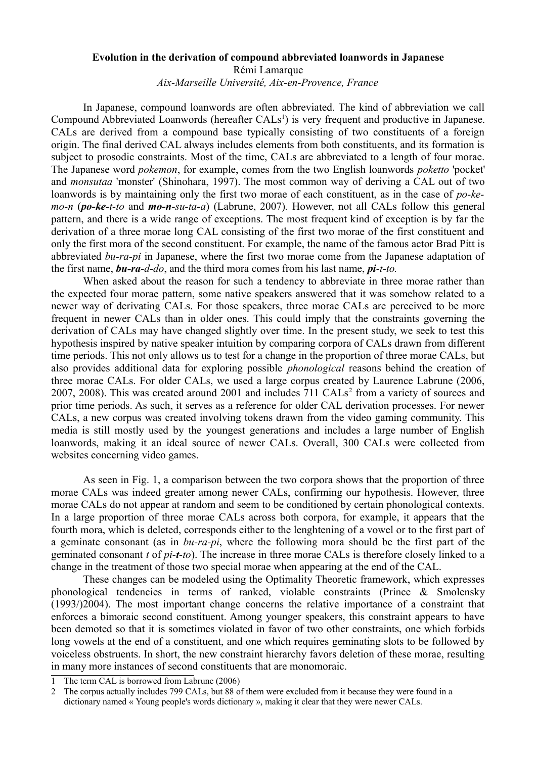## **Evolution in the derivation of compound abbreviated loanwords in Japanese**

Rémi Lamarque

*Aix-Marseille Université, Aix-en-Provence, France*

In Japanese, compound loanwords are often abbreviated. The kind of abbreviation we call Compound Abbreviated Loanwords (hereafter CALs<sup>[1](#page-0-0)</sup>) is very frequent and productive in Japanese. CALs are derived from a compound base typically consisting of two constituents of a foreign origin. The final derived CAL always includes elements from both constituents, and its formation is subject to prosodic constraints. Most of the time, CALs are abbreviated to a length of four morae. The Japanese word *pokemon*, for example, comes from the two English loanwords *poketto* 'pocket' and *monsutaa* 'monster' (Shinohara, 1997). The most common way of deriving a CAL out of two loanwords is by maintaining only the first two morae of each constituent, as in the case of *po-kemo-n* (*po-ke-t-to* and *mo-n-su-ta-a*) (Labrune, 2007)*.* However, not all CALs follow this general pattern, and there is a wide range of exceptions. The most frequent kind of exception is by far the derivation of a three morae long CAL consisting of the first two morae of the first constituent and only the first mora of the second constituent. For example, the name of the famous actor Brad Pitt is abbreviated *bu-ra-pi* in Japanese, where the first two morae come from the Japanese adaptation of the first name, *bu-ra-d-do*, and the third mora comes from his last name, *pi-t-to.*

When asked about the reason for such a tendency to abbreviate in three morae rather than the expected four morae pattern, some native speakers answered that it was somehow related to a newer way of derivating CALs. For those speakers, three morae CALs are perceived to be more frequent in newer CALs than in older ones. This could imply that the constraints governing the derivation of CALs may have changed slightly over time. In the present study, we seek to test this hypothesis inspired by native speaker intuition by comparing corpora of CALs drawn from different time periods. This not only allows us to test for a change in the proportion of three morae CALs, but also provides additional data for exploring possible *phonological* reasons behind the creation of three morae CALs. For older CALs, we used a large corpus created by Laurence Labrune (2006, [2](#page-0-1)007, 2008). This was created around 2001 and includes  $711 \text{ CALs}^2$  from a variety of sources and prior time periods. As such, it serves as a reference for older CAL derivation processes. For newer CALs, a new corpus was created involving tokens drawn from the video gaming community. This media is still mostly used by the youngest generations and includes a large number of English loanwords, making it an ideal source of newer CALs. Overall, 300 CALs were collected from websites concerning video games.

As seen in Fig. 1, a comparison between the two corpora shows that the proportion of three morae CALs was indeed greater among newer CALs, confirming our hypothesis. However, three morae CALs do not appear at random and seem to be conditioned by certain phonological contexts. In a large proportion of three morae CALs across both corpora, for example, it appears that the fourth mora, which is deleted, corresponds either to the lenghtening of a vowel or to the first part of a geminate consonant (as in *bu-ra-pi*, where the following mora should be the first part of the geminated consonant *t* of *pi-t-to*). The increase in three morae CALs is therefore closely linked to a change in the treatment of those two special morae when appearing at the end of the CAL.

These changes can be modeled using the Optimality Theoretic framework, which expresses phonological tendencies in terms of ranked, violable constraints (Prince & Smolensky (1993/)2004). The most important change concerns the relative importance of a constraint that enforces a bimoraic second constituent. Among younger speakers, this constraint appears to have been demoted so that it is sometimes violated in favor of two other constraints, one which forbids long vowels at the end of a constituent, and one which requires geminating slots to be followed by voiceless obstruents. In short, the new constraint hierarchy favors deletion of these morae, resulting in many more instances of second constituents that are monomoraic.

<span id="page-0-0"></span>The term CAL is borrowed from Labrune (2006)

<span id="page-0-1"></span><sup>2</sup> The corpus actually includes 799 CALs, but 88 of them were excluded from it because they were found in a dictionary named « Young people's words dictionary », making it clear that they were newer CALs.